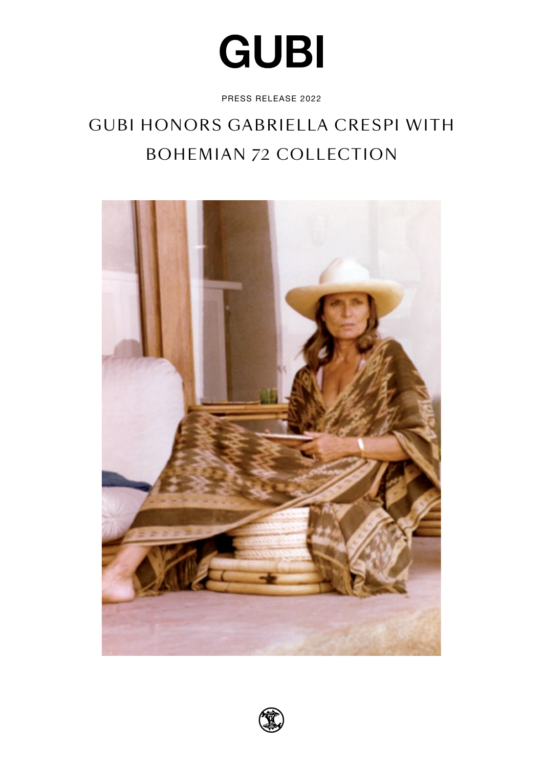# **GUBI**

PRESS RELEASE 2022

# GUBI HONORS GABRIELLA CRESPI WITH BOHEMIAN 72 COLLECTION



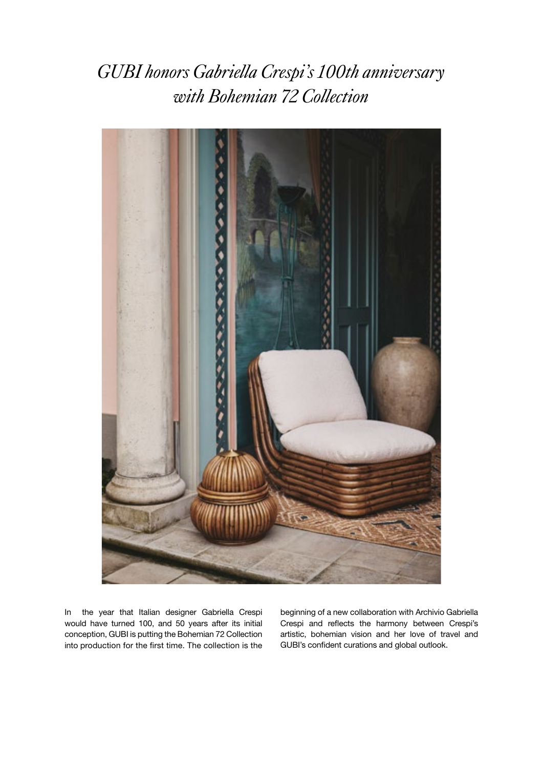*GUBI honors Gabriella Crespi's 100th anniversary with Bohemian 72 Collection*



In the year that Italian designer Gabriella Crespi would have turned 100, and 50 years after its initial conception, GUBI is putting the Bohemian 72 Collection into production for the first time. The collection is the

beginning of a new collaboration with Archivio Gabriella Crespi and reflects the harmony between Crespi's artistic, bohemian vision and her love of travel and GUBI's confident curations and global outlook.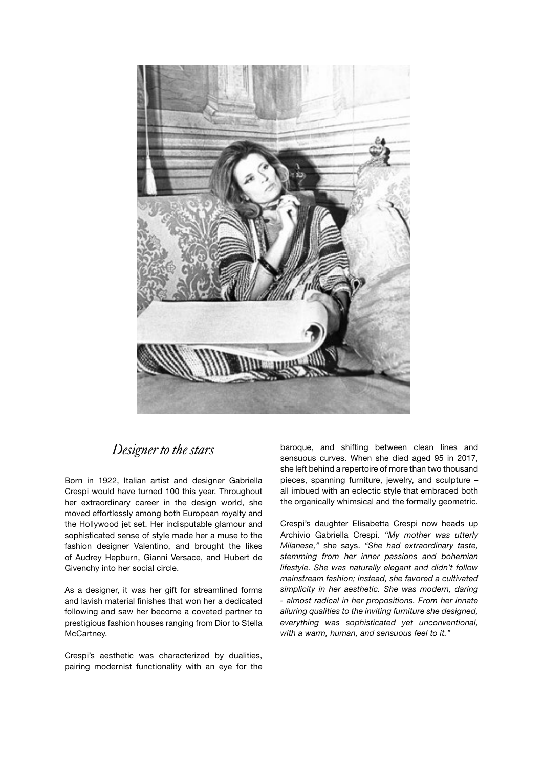

#### *Designer to the stars*

Born in 1922, Italian artist and designer Gabriella Crespi would have turned 100 this year. Throughout her extraordinary career in the design world, she moved effortlessly among both European royalty and the Hollywood jet set. Her indisputable glamour and sophisticated sense of style made her a muse to the fashion designer Valentino, and brought the likes of Audrey Hepburn, Gianni Versace, and Hubert de Givenchy into her social circle.

As a designer, it was her gift for streamlined forms and lavish material finishes that won her a dedicated following and saw her become a coveted partner to prestigious fashion houses ranging from Dior to Stella McCartney.

Crespi's aesthetic was characterized by dualities, pairing modernist functionality with an eye for the baroque, and shifting between clean lines and sensuous curves. When she died aged 95 in 2017, she left behind a repertoire of more than two thousand pieces, spanning furniture, jewelry, and sculpture – all imbued with an eclectic style that embraced both the organically whimsical and the formally geometric.

Crespi's daughter Elisabetta Crespi now heads up Archivio Gabriella Crespi. *"My mother was utterly Milanese,"* she says. *"She had extraordinary taste, stemming from her inner passions and bohemian lifestyle. She was naturally elegant and didn't follow mainstream fashion; instead, she favored a cultivated simplicity in her aesthetic. She was modern, daring - almost radical in her propositions. From her innate alluring qualities to the inviting furniture she designed, everything was sophisticated yet unconventional, with a warm, human, and sensuous feel to it."*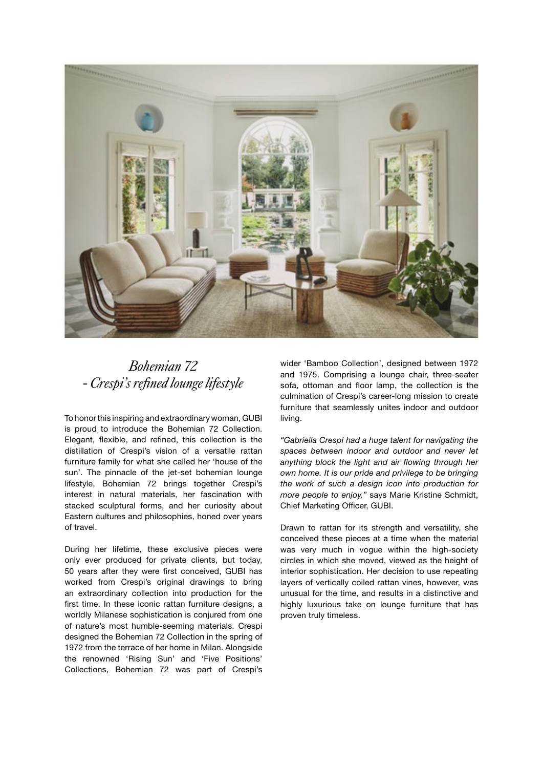

#### *Bohemian 72 - Crespi's refined lounge lifestyle*

To honor this inspiring and extraordinary woman, GUBI is proud to introduce the Bohemian 72 Collection. Elegant, flexible, and refined, this collection is the distillation of Crespi's vision of a versatile rattan furniture family for what she called her 'house of the sun'. The pinnacle of the jet-set bohemian lounge lifestyle, Bohemian 72 brings together Crespi's interest in natural materials, her fascination with stacked sculptural forms, and her curiosity about Eastern cultures and philosophies, honed over years of travel.

During her lifetime, these exclusive pieces were only ever produced for private clients, but today, 50 years after they were first conceived, GUBI has worked from Crespi's original drawings to bring an extraordinary collection into production for the first time. In these iconic rattan furniture designs, a worldly Milanese sophistication is conjured from one of nature's most humble-seeming materials. Crespi designed the Bohemian 72 Collection in the spring of 1972 from the terrace of her home in Milan. Alongside the renowned 'Rising Sun' and 'Five Positions' Collections, Bohemian 72 was part of Crespi's

wider 'Bamboo Collection', designed between 1972 and 1975. Comprising a lounge chair, three-seater sofa, ottoman and floor lamp, the collection is the culmination of Crespi's career-long mission to create furniture that seamlessly unites indoor and outdoor living.

*"Gabriella Crespi had a huge talent for navigating the spaces between indoor and outdoor and never let anything block the light and air flowing through her own home. It is our pride and privilege to be bringing the work of such a design icon into production for more people to enjoy,"* says Marie Kristine Schmidt, Chief Marketing Officer, GUBI.

Drawn to rattan for its strength and versatility, she conceived these pieces at a time when the material was very much in vogue within the high-society circles in which she moved, viewed as the height of interior sophistication. Her decision to use repeating layers of vertically coiled rattan vines, however, was unusual for the time, and results in a distinctive and highly luxurious take on lounge furniture that has proven truly timeless.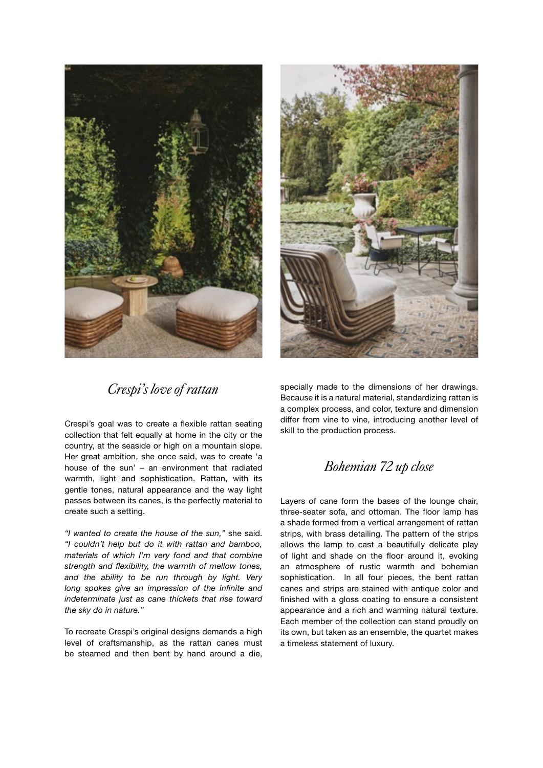



### *Crespi's love of rattan*

Crespi's goal was to create a flexible rattan seating collection that felt equally at home in the city or the country, at the seaside or high on a mountain slope. Her great ambition, she once said, was to create 'a house of the sun' – an environment that radiated warmth, light and sophistication. Rattan, with its gentle tones, natural appearance and the way light passes between its canes, is the perfectly material to create such a setting.

*"I wanted to create the house of the sun,"* she said. *"I couldn't help but do it with rattan and bamboo, materials of which I'm very fond and that combine strength and flexibility, the warmth of mellow tones, and the ability to be run through by light. Very long spokes give an impression of the infinite and indeterminate just as cane thickets that rise toward the sky do in nature."*

To recreate Crespi's original designs demands a high level of craftsmanship, as the rattan canes must be steamed and then bent by hand around a die,

specially made to the dimensions of her drawings. Because it is a natural material, standardizing rattan is a complex process, and color, texture and dimension differ from vine to vine, introducing another level of skill to the production process.

### *Bohemian 72 up close*

Layers of cane form the bases of the lounge chair, three-seater sofa, and ottoman. The floor lamp has a shade formed from a vertical arrangement of rattan strips, with brass detailing. The pattern of the strips allows the lamp to cast a beautifully delicate play of light and shade on the floor around it, evoking an atmosphere of rustic warmth and bohemian sophistication. In all four pieces, the bent rattan canes and strips are stained with antique color and finished with a gloss coating to ensure a consistent appearance and a rich and warming natural texture. Each member of the collection can stand proudly on its own, but taken as an ensemble, the quartet makes a timeless statement of luxury.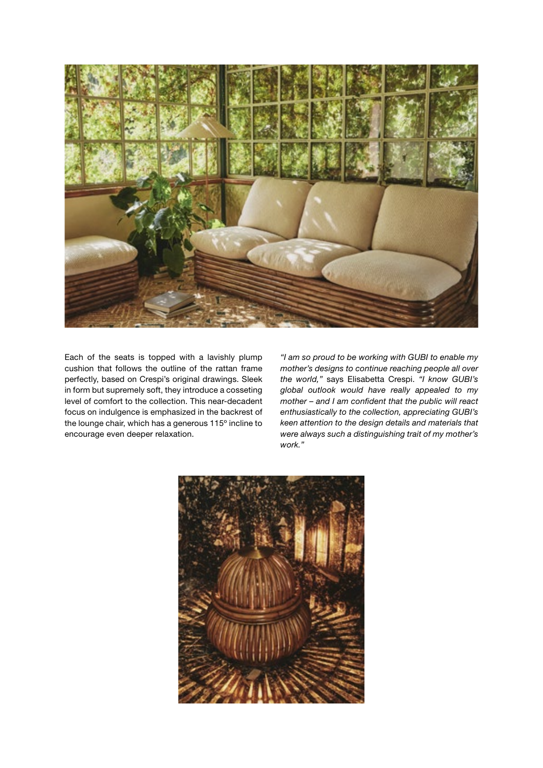

Each of the seats is topped with a lavishly plump cushion that follows the outline of the rattan frame perfectly, based on Crespi's original drawings. Sleek in form but supremely soft, they introduce a cosseting level of comfort to the collection. This near-decadent focus on indulgence is emphasized in the backrest of the lounge chair, which has a generous 115º incline to encourage even deeper relaxation.

*"I am so proud to be working with GUBI to enable my mother's designs to continue reaching people all over the world,"* says Elisabetta Crespi. *"I know GUBI's global outlook would have really appealed to my mother – and I am confident that the public will react enthusiastically to the collection, appreciating GUBI's keen attention to the design details and materials that were always such a distinguishing trait of my mother's work."*